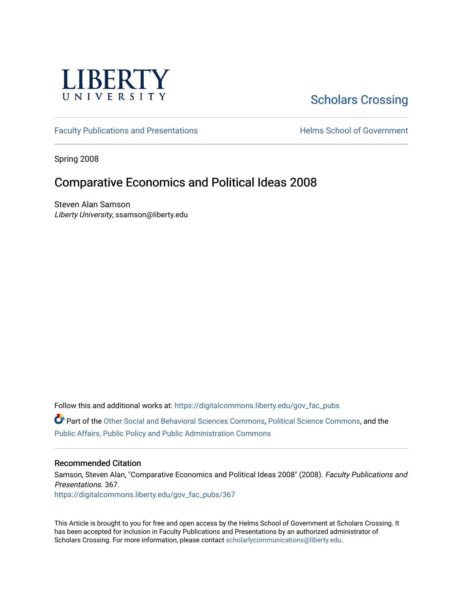

# [Scholars Crossing](https://digitalcommons.liberty.edu/)

[Faculty Publications and Presentations](https://digitalcommons.liberty.edu/gov_fac_pubs) **Exercise School of Government** 

Spring 2008

## Comparative Economics and Political Ideas 2008

Steven Alan Samson Liberty University, ssamson@liberty.edu

Follow this and additional works at: [https://digitalcommons.liberty.edu/gov\\_fac\\_pubs](https://digitalcommons.liberty.edu/gov_fac_pubs?utm_source=digitalcommons.liberty.edu%2Fgov_fac_pubs%2F367&utm_medium=PDF&utm_campaign=PDFCoverPages)

Part of the [Other Social and Behavioral Sciences Commons](http://network.bepress.com/hgg/discipline/437?utm_source=digitalcommons.liberty.edu%2Fgov_fac_pubs%2F367&utm_medium=PDF&utm_campaign=PDFCoverPages), [Political Science Commons](http://network.bepress.com/hgg/discipline/386?utm_source=digitalcommons.liberty.edu%2Fgov_fac_pubs%2F367&utm_medium=PDF&utm_campaign=PDFCoverPages), and the [Public Affairs, Public Policy and Public Administration Commons](http://network.bepress.com/hgg/discipline/393?utm_source=digitalcommons.liberty.edu%2Fgov_fac_pubs%2F367&utm_medium=PDF&utm_campaign=PDFCoverPages)

#### Recommended Citation

Samson, Steven Alan, "Comparative Economics and Political Ideas 2008" (2008). Faculty Publications and Presentations. 367. [https://digitalcommons.liberty.edu/gov\\_fac\\_pubs/367](https://digitalcommons.liberty.edu/gov_fac_pubs/367?utm_source=digitalcommons.liberty.edu%2Fgov_fac_pubs%2F367&utm_medium=PDF&utm_campaign=PDFCoverPages)

This Article is brought to you for free and open access by the Helms School of Government at Scholars Crossing. It has been accepted for inclusion in Faculty Publications and Presentations by an authorized administrator of Scholars Crossing. For more information, please contact [scholarlycommunications@liberty.edu.](mailto:scholarlycommunications@liberty.edu)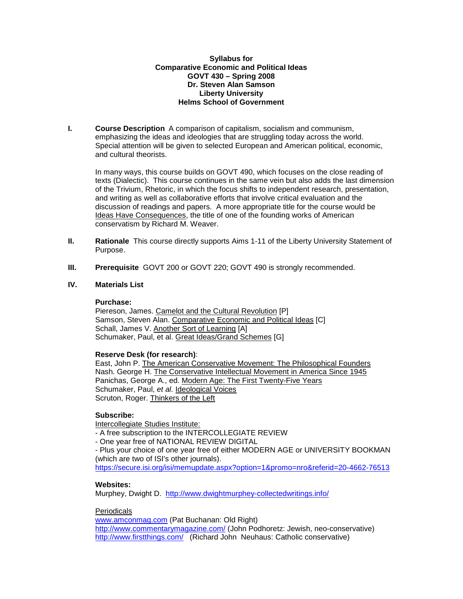#### **Syllabus for Comparative Economic and Political Ideas GOVT 430 – Spring 2008 Dr. Steven Alan Samson Liberty University Helms School of Government**

**I. Course Description** A comparison of capitalism, socialism and communism, emphasizing the ideas and ideologies that are struggling today across the world. Special attention will be given to selected European and American political, economic, and cultural theorists.

In many ways, this course builds on GOVT 490, which focuses on the close reading of texts (Dialectic). This course continues in the same vein but also adds the last dimension of the Trivium, Rhetoric, in which the focus shifts to independent research, presentation, and writing as well as collaborative efforts that involve critical evaluation and the discussion of readings and papers. A more appropriate title for the course would be Ideas Have Consequences, the title of one of the founding works of American conservatism by Richard M. Weaver.

- **II. Rationale** This course directly supports Aims 1-11 of the Liberty University Statement of Purpose.
- **III. Prerequisite** GOVT 200 or GOVT 220; GOVT 490 is strongly recommended.

#### **IV. Materials List**

#### **Purchase:**

Piereson, James. Camelot and the Cultural Revolution [P] Samson, Steven Alan. Comparative Economic and Political Ideas [C] Schall, James V. Another Sort of Learning [A] Schumaker, Paul, et al. Great Ideas/Grand Schemes [G]

## **Reserve Desk (for research)**:

East, John P. The American Conservative Movement: The Philosophical Founders Nash. George H. The Conservative Intellectual Movement in America Since 1945 Panichas, George A., ed. Modern Age: The First Twenty-Five Years Schumaker, Paul, *et al.* Ideological Voices Scruton, Roger. Thinkers of the Left

## **Subscribe:**

Intercollegiate Studies Institute:

- A free subscription to the INTERCOLLEGIATE REVIEW

- One year free of NATIONAL REVIEW DIGITAL

- Plus your choice of one year free of either MODERN AGE or UNIVERSITY BOOKMAN (which are two of ISI's other journals).

<https://secure.isi.org/isi/memupdate.aspx?option=1&promo=nro&referid=20-4662-76513>

## **Websites:**

Murphey, Dwight D. <http://www.dwightmurphey-collectedwritings.info/>

#### Periodicals

[www.amconmag.com](http://www.amconmag.com/) (Pat Buchanan: Old Right) <http://www.commentarymagazine.com/> (John Podhoretz: Jewish, neo-conservative) <http://www.firstthings.com/>(Richard John Neuhaus: Catholic conservative)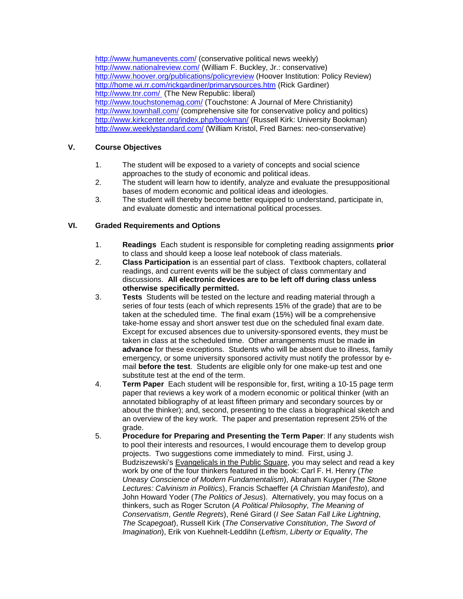<http://www.humanevents.com/> (conservative political news weekly) <http://www.nationalreview.com/> (William F. Buckley, Jr.: conservative) <http://www.hoover.org/publications/policyreview> (Hoover Institution: Policy Review) <http://home.wi.rr.com/rickgardiner/primarysources.htm> (Rick Gardiner) <http://www.tnr.com/> (The New Republic: liberal) <http://www.touchstonemag.com/> (Touchstone: A Journal of Mere Christianity) <http://www.townhall.com/> (comprehensive site for conservative policy and politics) <http://www.kirkcenter.org/index.php/bookman/> (Russell Kirk: University Bookman) <http://www.weeklystandard.com/> (William Kristol, Fred Barnes: neo-conservative)

#### **V. Course Objectives**

- 1. The student will be exposed to a variety of concepts and social science approaches to the study of economic and political ideas.
- 2. The student will learn how to identify, analyze and evaluate the presuppositional bases of modern economic and political ideas and ideologies.
- 3. The student will thereby become better equipped to understand, participate in, and evaluate domestic and international political processes.

#### **VI. Graded Requirements and Options**

- 1. **Readings** Each student is responsible for completing reading assignments **prior** to class and should keep a loose leaf notebook of class materials.
- 2. **Class Participation** is an essential part of class. Textbook chapters, collateral readings, and current events will be the subject of class commentary and discussions. **All electronic devices are to be left off during class unless otherwise specifically permitted.**
- 3. **Tests** Students will be tested on the lecture and reading material through a series of four tests (each of which represents 15% of the grade) that are to be taken at the scheduled time. The final exam (15%) will be a comprehensive take-home essay and short answer test due on the scheduled final exam date. Except for excused absences due to university-sponsored events, they must be taken in class at the scheduled time. Other arrangements must be made **in advance** for these exceptions. Students who will be absent due to illness, family emergency, or some university sponsored activity must notify the professor by email **before the test**. Students are eligible only for one make-up test and one substitute test at the end of the term.
- 4. **Term Paper** Each student will be responsible for, first, writing a 10-15 page term paper that reviews a key work of a modern economic or political thinker (with an annotated bibliography of at least fifteen primary and secondary sources by or about the thinker); and, second, presenting to the class a biographical sketch and an overview of the key work. The paper and presentation represent 25% of the grade.
- 5. **Procedure for Preparing and Presenting the Term Paper**: If any students wish to pool their interests and resources, I would encourage them to develop group projects. Two suggestions come immediately to mind. First, using J. Budziszewski's Evangelicals in the Public Square, you may select and read a key work by one of the four thinkers featured in the book: Carl F. H. Henry (*The Uneasy Conscience of Modern Fundamentalism*), Abraham Kuyper (*The Stone Lectures: Calvinism in Politics*), Francis Schaeffer (*A Christian Manifesto*), and John Howard Yoder (*The Politics of Jesus*). Alternatively, you may focus on a thinkers, such as Roger Scruton (*A Political Philosophy, The Meaning of Conservatism*, *Gentle Regrets*), René Girard (*I See Satan Fall Like Lightning*, *The Scapegoat*), Russell Kirk (*The Conservative Constitution*, *The Sword of Imagination*), Erik von Kuehnelt-Leddihn (*Leftism*, *Liberty or Equality*, *The*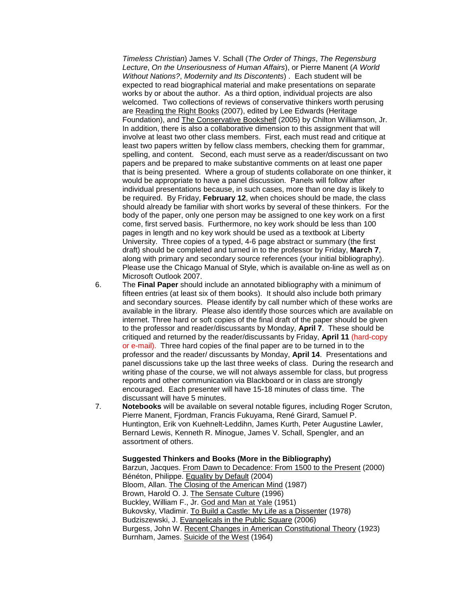*Timeless Christian*) James V. Schall (*The Order of Things*, *The Regensburg Lecture*, *On the Unseriousness of Human Affairs*), or Pierre Manent (*A World Without Nations?*, *Modernity and Its Discontents*) . Each student will be expected to read biographical material and make presentations on separate works by or about the author. As a third option, individual projects are also welcomed. Two collections of reviews of conservative thinkers worth perusing are Reading the Right Books (2007), edited by Lee Edwards (Heritage Foundation), and The Conservative Bookshelf (2005) by Chilton Williamson, Jr. In addition, there is also a collaborative dimension to this assignment that will involve at least two other class members. First, each must read and critique at least two papers written by fellow class members, checking them for grammar, spelling, and content. Second, each must serve as a reader/discussant on two papers and be prepared to make substantive comments on at least one paper that is being presented. Where a group of students collaborate on one thinker, it would be appropriate to have a panel discussion. Panels will follow after individual presentations because, in such cases, more than one day is likely to be required. By Friday, **February 12**, when choices should be made, the class should already be familiar with short works by several of these thinkers. For the body of the paper, only one person may be assigned to one key work on a first come, first served basis. Furthermore, no key work should be less than 100 pages in length and no key work should be used as a textbook at Liberty University. Three copies of a typed, 4-6 page abstract or summary (the first draft) should be completed and turned in to the professor by Friday, **March 7**, along with primary and secondary source references (your initial bibliography). Please use the Chicago Manual of Style, which is available on-line as well as on Microsoft Outlook 2007.

- 6. The **Final Paper** should include an annotated bibliography with a minimum of fifteen entries (at least six of them books). It should also include both primary and secondary sources. Please identify by call number which of these works are available in the library. Please also identify those sources which are available on internet. Three hard or soft copies of the final draft of the paper should be given to the professor and reader/discussants by Monday, **April 7**. These should be critiqued and returned by the reader/discussants by Friday, **April 11** (hard-copy or e-mail). Three hard copies of the final paper are to be turned in to the professor and the reader/ discussants by Monday, **April 14**. Presentations and panel discussions take up the last three weeks of class. During the research and writing phase of the course, we will not always assemble for class, but progress reports and other communication via Blackboard or in class are strongly encouraged. Each presenter will have 15-18 minutes of class time. The discussant will have 5 minutes.
- 7. **Notebooks** will be available on several notable figures, including Roger Scruton, Pierre Manent, Fjordman, Francis Fukuyama, René Girard, Samuel P. Huntington, Erik von Kuehnelt-Leddihn, James Kurth, Peter Augustine Lawler, Bernard Lewis, Kenneth R. Minogue, James V. Schall, Spengler, and an assortment of others.

#### **Suggested Thinkers and Books (More in the Bibliography)**

Barzun, Jacques. From Dawn to Decadence: From 1500 to the Present (2000) Bénéton, Philippe. Equality by Default (2004) Bloom, Allan. The Closing of the American Mind (1987) Brown, Harold O. J. The Sensate Culture (1996) Buckley, William F., Jr. God and Man at Yale (1951) Bukovsky, Vladimir. To Build a Castle: My Life as a Dissenter (1978) Budziszewski, J. Evangelicals in the Public Square (2006) Burgess, John W. Recent Changes in American Constitutional Theory (1923) Burnham, James. Suicide of the West (1964)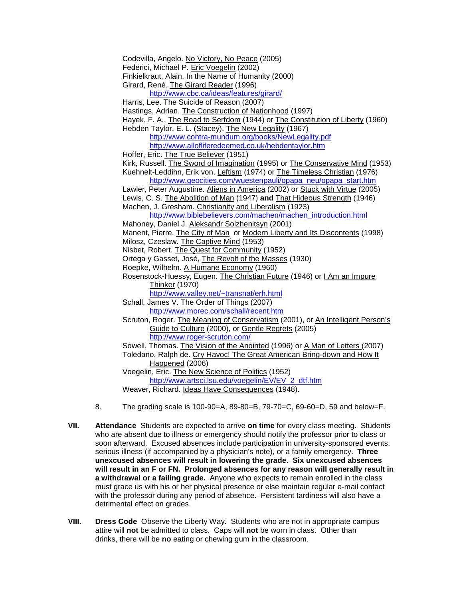Codevilla, Angelo. No Victory, No Peace (2005)

Federici, Michael P. Eric Voegelin (2002)

Finkielkraut, Alain. In the Name of Humanity (2000)

Girard, René. The Girard Reader (1996)

<http://www.cbc.ca/ideas/features/girard/>

Harris, Lee. The Suicide of Reason (2007)

Hastings, Adrian. The Construction of Nationhood (1997)

Hayek, F. A., The Road to Serfdom (1944) or The Constitution of Liberty (1960) Hebden Taylor, E. L. (Stacey). The New Legality (1967)

<http://www.contra-mundum.org/books/NewLegality.pdf> <http://www.allofliferedeemed.co.uk/hebdentaylor.htm>

Hoffer, Eric. The True Believer (1951)

Kirk, Russell. The Sword of Imagination (1995) or The Conservative Mind (1953) Kuehnelt-Leddihn, Erik von. Leftism (1974) or The Timeless Christian (1976)

[http://www.geocities.com/wuestenpauli/opapa\\_neu/opapa\\_start.htm](http://www.geocities.com/wuestenpauli/opapa_neu/opapa_start.htm)

Lawler, Peter Augustine. Aliens in America (2002) or Stuck with Virtue (2005) Lewis, C. S. The Abolition of Man (1947) **and** That Hideous Strength (1946)

Machen, J. Gresham. Christianity and Liberalism (1923)

[http://www.biblebelievers.com/machen/machen\\_introduction.html](http://www.biblebelievers.com/machen/machen_introduction.html)

Mahoney, Daniel J. Aleksandr Solzhenitsyn (2001)

Manent, Pierre. The City of Man or Modern Liberty and Its Discontents (1998)

Milosz, Czeslaw. The Captive Mind (1953)

Nisbet, Robert. The Quest for Community (1952)

Ortega y Gasset, José, The Revolt of the Masses (1930)

Roepke, Wilhelm. A Humane Economy (1960)

Rosenstock-Huessy, Eugen. The Christian Future (1946) or I Am an Impure Thinker (1970)

<http://www.valley.net/~transnat/erh.html>

Schall, James V. The Order of Things (2007) <http://www.morec.com/schall/recent.htm>

Scruton, Roger. The Meaning of Conservatism (2001), or An Intelligent Person's Guide to Culture (2000), or Gentle Regrets (2005) <http://www.roger-scruton.com/>

Sowell, Thomas. The Vision of the Anointed (1996) or A Man of Letters (2007)

Toledano, Ralph de. Cry Havoc! The Great American Bring-down and How It Happened (2006)

Voegelin, Eric. The New Science of Politics (1952)

[http://www.artsci.lsu.edu/voegelin/EV/EV\\_2\\_dtf.htm](http://www.artsci.lsu.edu/voegelin/EV/EV_2_dtf.htm)

Weaver, Richard. Ideas Have Consequences (1948).

- 8. The grading scale is 100-90=A, 89-80=B, 79-70=C, 69-60=D, 59 and below=F.
- **VII. Attendance** Students are expected to arrive **on time** for every class meeting. Students who are absent due to illness or emergency should notify the professor prior to class or soon afterward. Excused absences include participation in university-sponsored events, serious illness (if accompanied by a physician's note), or a family emergency. **Three unexcused absences will result in lowering the grade**. **Six unexcused absences will result in an F or FN. Prolonged absences for any reason will generally result in a withdrawal or a failing grade.** Anyone who expects to remain enrolled in the class must grace us with his or her physical presence or else maintain regular e-mail contact with the professor during any period of absence. Persistent tardiness will also have a detrimental effect on grades.
- **VIII. Dress Code** Observe the Liberty Way. Students who are not in appropriate campus attire will **not** be admitted to class. Caps will **not** be worn in class. Other than drinks, there will be **no** eating or chewing gum in the classroom.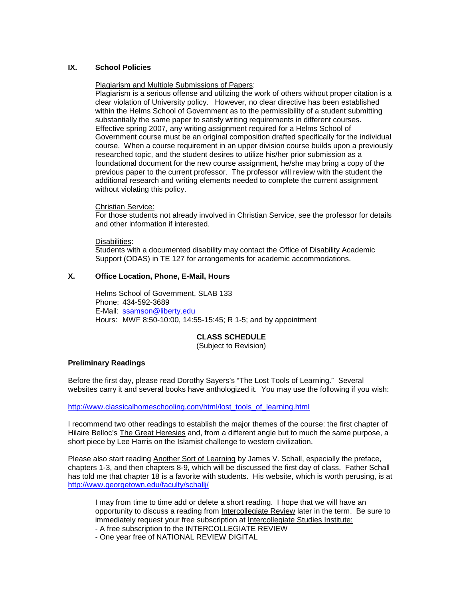#### **IX. School Policies**

#### Plagiarism and Multiple Submissions of Papers:

Plagiarism is a serious offense and utilizing the work of others without proper citation is a clear violation of University policy. However, no clear directive has been established within the Helms School of Government as to the permissibility of a student submitting substantially the same paper to satisfy writing requirements in different courses. Effective spring 2007, any writing assignment required for a Helms School of Government course must be an original composition drafted specifically for the individual course. When a course requirement in an upper division course builds upon a previously researched topic, and the student desires to utilize his/her prior submission as a foundational document for the new course assignment, he/she may bring a copy of the previous paper to the current professor. The professor will review with the student the additional research and writing elements needed to complete the current assignment without violating this policy.

#### Christian Service:

For those students not already involved in Christian Service, see the professor for details and other information if interested.

Disabilities :

Students with a documented disability may contact the Office of Disability Academic Support (ODAS) in TE 127 for arrangements for academic accommodations.

#### **X. Office Location, Phone, E-Mail, Hours**

Helms School of Government, SLAB 133 Phone: 434-592-3689 E-Mail: [ssamson@liberty.edu](mailto:ssamson@liberty.edu) Hours: MWF 8:50-10:00, 14:55-15:45; R 1-5; and by appointment

## **CLASS SCHEDULE**

(Subject to Revision)

#### **Preliminary Readings**

Before the first day, please read Dorothy Sayers's "The Lost Tools of Learning." Several websites carry it and several books have anthologized it. You may use the following if you wish:

[http://www.classicalhomeschooling.com/html/lost\\_tools\\_of\\_learning.html](http://www.classicalhomeschooling.com/html/lost_tools_of_learning.html)

I recommend two other readings to establish the major themes of the course: the first chapter of Hilaire Belloc's The Great Heresies and, from a different angle but to much the same purpose, a short piece by Lee Harris on the Islamist challenge to western civilization.

Please also start reading Another Sort of Learning by James V. Schall, especially the preface, chapters 1-3, and then chapters 8-9, which will be discussed the first day of class. Father Schall has told me that chapter 18 is a favorite with students. His website, which is worth perusing, is at <http://www.georgetown.edu/faculty/schallj/>

I may from time to time add or delete a short reading. I hope that we will have an opportunity to discuss a reading from Intercollegiate Review later in the term. Be sure to immediately request your free subscription at Intercollegiate Studies Institute:

- A free subscription to the INTERCOLLEGIATE REVIEW

- One year free of NATIONAL REVIEW DIGITAL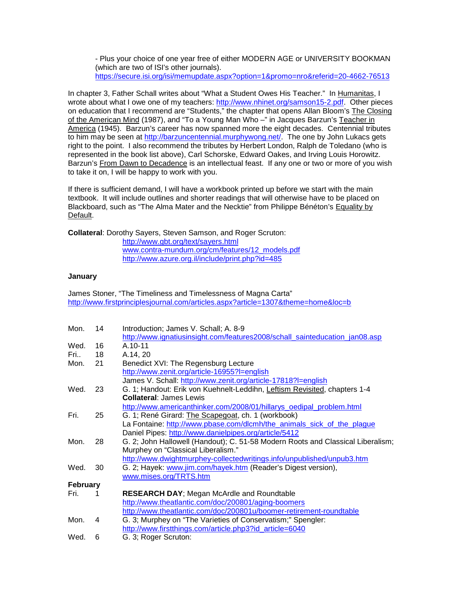- Plus your choice of one year free of either MODERN AGE or UNIVERSITY BOOKMAN (which are two of ISI's other journals). <https://secure.isi.org/isi/memupdate.aspx?option=1&promo=nro&referid=20-4662-76513>

In chapter 3, Father Schall writes about "What a Student Owes His Teacher." In Humanitas, I wrote about what I owe one of my teachers: [http://www.nhinet.org/samson15-2.pdf.](http://www.nhinet.org/samson15-2.pdf) Other pieces on education that I recommend are "Students," the chapter that opens Allan Bloom's The Closing of the American Mind (1987), and "To a Young Man Who -" in Jacques Barzun's Teacher in America (1945). Barzun's career has now spanned more the eight decades. Centennial tributes to him may be seen at [http://barzuncentennial.murphywong.net/.](http://barzuncentennial.murphywong.net/) The one by John Lukacs gets right to the point. I also recommend the tributes by Herbert London, Ralph de Toledano (who is represented in the book list above), Carl Schorske, Edward Oakes, and Irving Louis Horowitz. Barzun's From Dawn to Decadence is an intellectual feast. If any one or two or more of you wish to take it on, I will be happy to work with you.

If there is sufficient demand, I will have a workbook printed up before we start with the main textbook. It will include outlines and shorter readings that will otherwise have to be placed on Blackboard, such as "The Alma Mater and the Necktie" from Philippe Bénéton's Equality by Default.

**Collateral**: Dorothy Sayers, Steven Samson, and Roger Scruton:

<http://www.gbt.org/text/sayers.html> [www.contra-mundum.org/cm/features/12\\_models.pdf](http://www.contra-mundum.org/cm/features/12_models.pdf) <http://www.azure.org.il/include/print.php?id=485>

#### **January**

James Stoner, "The Timeliness and Timelessness of Magna Carta" <http://www.firstprinciplesjournal.com/articles.aspx?article=1307&theme=home&loc=b>

| Mon.            | 14 | Introduction; James V. Schall; A. 8-9                                           |
|-----------------|----|---------------------------------------------------------------------------------|
|                 |    | http://www.ignatiusinsight.com/features2008/schall_sainteducation_jan08.asp     |
| Wed.            | 16 | A.10-11                                                                         |
| Fri             | 18 | A.14, 20                                                                        |
| Mon.            | 21 | Benedict XVI: The Regensburg Lecture                                            |
|                 |    | http://www.zenit.org/article-16955?I=english                                    |
|                 |    | James V. Schall: http://www.zenit.org/article-17818?I=english                   |
| Wed.            | 23 | G. 1; Handout: Erik von Kuehnelt-Leddihn, Leftism Revisited, chapters 1-4       |
|                 |    | <b>Collateral: James Lewis</b>                                                  |
|                 |    | http://www.americanthinker.com/2008/01/hillarys_oedipal_problem.html            |
| Fri.            | 25 | G. 1; René Girard: The Scapegoat, ch. 1 (workbook)                              |
|                 |    | La Fontaine: http://www.pbase.com/dlcmh/the animals sick of the plaque          |
|                 |    | Daniel Pipes: http://www.danielpipes.org/article/5412                           |
| Mon.            | 28 | G. 2; John Hallowell (Handout); C. 51-58 Modern Roots and Classical Liberalism; |
|                 |    | Murphey on "Classical Liberalism."                                              |
|                 |    | http://www.dwightmurphey-collectedwritings.info/unpublished/unpub3.htm          |
| Wed.            | 30 | G. 2; Hayek: www.jim.com/hayek.htm (Reader's Digest version),                   |
|                 |    | www.mises.org/TRTS.htm                                                          |
| <b>February</b> |    |                                                                                 |
| Fri.            |    | <b>RESEARCH DAY; Megan McArdle and Roundtable</b>                               |
|                 |    | http://www.theatlantic.com/doc/200801/aging-boomers                             |
|                 |    | http://www.theatlantic.com/doc/200801u/boomer-retirement-roundtable             |
| Mon.            | 4  | G. 3; Murphey on "The Varieties of Conservatism;" Spengler:                     |
|                 |    | http://www.firstthings.com/article.php3?id article=6040                         |
| Wed.            | 6  | G. 3; Roger Scruton:                                                            |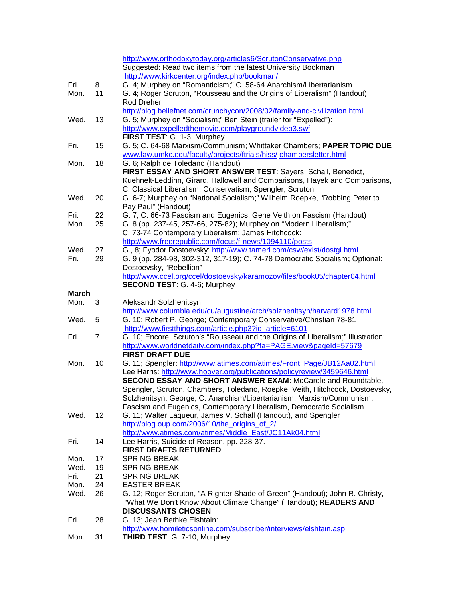|              |    | http://www.orthodoxytoday.org/articles6/ScrutonConservative.php                                           |
|--------------|----|-----------------------------------------------------------------------------------------------------------|
|              |    | Suggested: Read two items from the latest University Bookman                                              |
|              |    | http://www.kirkcenter.org/index.php/bookman/                                                              |
| Fri.         | 8  | G. 4; Murphey on "Romanticism;" C. 58-64 Anarchism/Libertarianism                                         |
| Mon.         | 11 | G. 4; Roger Scruton, "Rousseau and the Origins of Liberalism" (Handout);                                  |
|              |    | <b>Rod Dreher</b>                                                                                         |
|              |    | http://blog.beliefnet.com/crunchycon/2008/02/family-and-civilization.html                                 |
| Wed.         | 13 | G. 5; Murphey on "Socialism;" Ben Stein (trailer for "Expelled"):                                         |
|              |    | http://www.expelledthemovie.com/playgroundvideo3.swf                                                      |
|              |    | FIRST TEST: G. 1-3; Murphey                                                                               |
| Fri.         | 15 | G. 5; C. 64-68 Marxism/Communism; Whittaker Chambers; PAPER TOPIC DUE                                     |
|              |    | www.law.umkc.edu/faculty/projects/ftrials/hiss/ chambersletter.html                                       |
|              | 18 | G. 6; Ralph de Toledano (Handout)                                                                         |
| Mon.         |    |                                                                                                           |
|              |    | FIRST ESSAY AND SHORT ANSWER TEST: Sayers, Schall, Benedict,                                              |
|              |    | Kuehnelt-Leddihn, Girard, Hallowell and Comparisons, Hayek and Comparisons,                               |
|              |    | C. Classical Liberalism, Conservatism, Spengler, Scruton                                                  |
| Wed.         | 20 | G. 6-7; Murphey on "National Socialism;" Wilhelm Roepke, "Robbing Peter to                                |
|              |    | Pay Paul" (Handout)                                                                                       |
| Fri.         | 22 | G. 7; C. 66-73 Fascism and Eugenics; Gene Veith on Fascism (Handout)                                      |
| Mon.         | 25 | G. 8 (pp. 237-45, 257-66, 275-82); Murphey on "Modern Liberalism;"                                        |
|              |    | C. 73-74 Contemporary Liberalism; James Hitchcock:                                                        |
|              |    | http://www.freerepublic.com/focus/f-news/1094110/posts                                                    |
| Wed.         | 27 | G., 8; Fyodor Dostoevsky: http://www.tameri.com/csw/exist/dostgi.html                                     |
| Fri.         | 29 | G. 9 (pp. 284-98, 302-312, 317-19); C. 74-78 Democratic Socialism; Optional:                              |
|              |    | Dostoevsky, "Rebellion"                                                                                   |
|              |    | http://www.ccel.org/ccel/dostoevsky/karamozov/files/book05/chapter04.html                                 |
|              |    | <b>SECOND TEST: G. 4-6; Murphey</b>                                                                       |
| <b>March</b> |    |                                                                                                           |
| Mon.         | 3  | Aleksandr Solzhenitsyn                                                                                    |
|              |    |                                                                                                           |
|              |    | http://www.columbia.edu/cu/augustine/arch/solzhenitsyn/harvard1978.html                                   |
| Wed.         | 5  | G. 10; Robert P. George; Contemporary Conservative/Christian 78-81                                        |
|              |    | http://www.firstthings.com/article.php3?id_article=6101                                                   |
| Fri.         | 7  | G. 10; Encore: Scruton's "Rousseau and the Origins of Liberalism;" Illustration:                          |
|              |    | http://www.worldnetdaily.com/index.php?fa=PAGE.view&pageId=57679                                          |
|              |    | <b>FIRST DRAFT DUE</b>                                                                                    |
| Mon.         | 10 |                                                                                                           |
|              |    | G. 11; Spengler: http://www.atimes.com/atimes/Front_Page/JB12Aa02.html                                    |
|              |    | Lee Harris: http://www.hoover.org/publications/policyreview/3459646.html                                  |
|              |    | SECOND ESSAY AND SHORT ANSWER EXAM: McCardle and Roundtable,                                              |
|              |    | Spengler, Scruton, Chambers, Toledano, Roepke, Veith, Hitchcock, Dostoevsky,                              |
|              |    | Solzhenitsyn; George; C. Anarchism/Libertarianism, Marxism/Communism,                                     |
|              |    | Fascism and Eugenics, Contemporary Liberalism, Democratic Socialism                                       |
| Wed.         | 12 | G. 11; Walter Laqueur, James V. Schall (Handout), and Spengler                                            |
|              |    | http://blog.oup.com/2006/10/the origins of 2/                                                             |
|              |    | http://www.atimes.com/atimes/Middle_East/JC11Ak04.html                                                    |
| Fri.         | 14 | Lee Harris, Suicide of Reason, pp. 228-37.                                                                |
|              |    | <b>FIRST DRAFTS RETURNED</b>                                                                              |
| Mon.         | 17 | <b>SPRING BREAK</b>                                                                                       |
| Wed.         | 19 | <b>SPRING BREAK</b>                                                                                       |
| Fri.         | 21 | <b>SPRING BREAK</b>                                                                                       |
| Mon.         | 24 | <b>EASTER BREAK</b>                                                                                       |
| Wed.         | 26 | G. 12; Roger Scruton, "A Righter Shade of Green" (Handout); John R. Christy,                              |
|              |    | "What We Don't Know About Climate Change" (Handout); READERS AND                                          |
|              |    | <b>DISCUSSANTS CHOSEN</b>                                                                                 |
| Fri.         | 28 | G. 13; Jean Bethke Elshtain:                                                                              |
| Mon.         | 31 | http://www.homileticsonline.com/subscriber/interviews/elshtain.asp<br><b>THIRD TEST: G. 7-10; Murphey</b> |